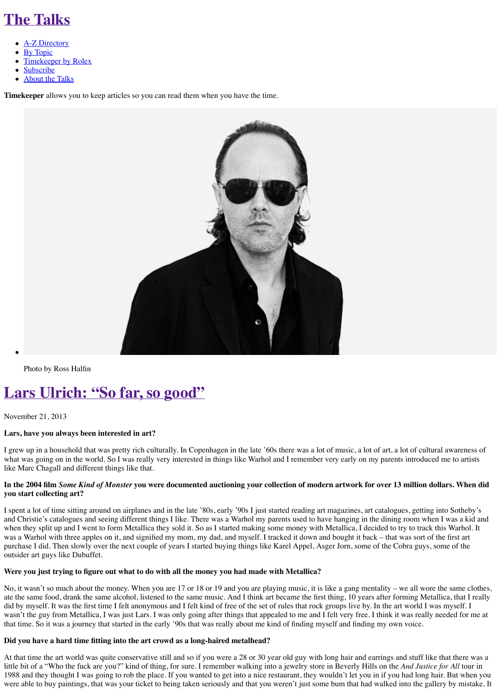[Photo by Ross Halfin](http://the-talks.com/read-later)

# **La[rs Ulrich](http://the-talks.com/about): "So far, so good"**

November 21, 2013

# **Lars, have you always been interested in art?**

I grew up in a household that was pretty rich culturally. In Copenhagen in the late '60s there w what was going on in the world. So I was really very interested in things like Warhol and I rem like Marc Chagall and different things like that.

# In the 2004 film *Some Kind of Monster* you were documented auctioning your collection of **you start collecting art?**

I spent a lot of time sitting around on airplanes and in the late '80s, early '90s I just started rea and Christie's catalogues and seeing different things I like. There was a Warhol my parents use when they split up and I went to form Metallica they sold it. So as I started making some mone was a Warhol with three apples on it, and signified my mom, my dad, and myself. I tracked it of purchase I did. Then slowly over the next couple of years I started buying things like Karel Ap outsider art guys like Dubuffet.

#### Were you just trying to figure out what to do with all the money you had made with Meta

No, it wasn't so much about the money. When you are 17 or 18 or 19 and you are playing mus ate the same food, drank the same alcohol, listened to the same music. And I think art became did by myself. It was the first time I felt anonymous and I felt kind of free of the set of rules th wasn't the guy from Metallica, I was just Lars. I was only going after things that appealed to ne that time. So it was a journey that started in the early '90s that was really about me kind of find

#### **Did you have a hard time fitting into the art crowd as a long-haired metalhead?**

At that time the art world was quite conservative still and so if you were a 28 or 30 year old gu little bit of a "Who the fuck are you?" kind of thing, for sure. I remember walking into a jewel 1988 and they thought I was going to rob the place. If you wanted to get into a nice restaurant, were able to buy paintings, that was your ticket to being taken seriously and that you weren't j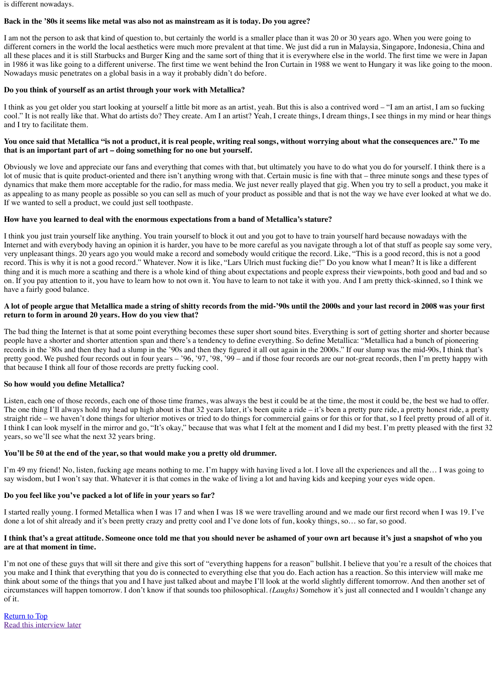#### **A lot of people argue that Metallica made a string of shitty records from the mid-'90s until the 2000s and your last record in 2008 was your first return to form in around 20 years. How do you view that?**

The bad thing the Internet is that at some point everything becomes these super short sound bit people have a shorter and shorter attention span and there's a tendency to define everything. So records in the '80s and then they had a slump in the '90s and then they figured it all out again i pretty good. We pushed four records out in four years – '96, '97, '98, '99 – and if those four re that because I think all four of those records are pretty fucking cool.

# **So how would you define Metallica?**

Listen, each one of those records, each one of those time frames, was always the best it could be. The one thing I'll always hold my head up high about is that 32 years later, it's been quite a ride straight ride – we haven't done things for ulterior motives or tried to do things for commercial I think I can look myself in the mirror and go, "It's okay," because that was what I felt at the m years, so we'll see what the next 32 years bring.

# **You'll be 50 at the end of the year, so that would make you a pretty old drummer.**

I'm 49 my friend! No, listen, fucking age means nothing to me. I'm happy with having lived a say wisdom, but I won't say that. Whatever it is that comes in the wake of living a lot and having

# **Do you feel like you've packed a lot of life in your years so far?**

I started really young. I formed Metallica when I was 17 and when I was 18 we were travelling done a lot of shit already and it's been pretty crazy and pretty cool and I've done lots of fun, ko

# I think that's a great attitude. Someone once told me that you should never be ashamed o **are at that moment in time.**

I'm not one of these guys that will sit there and give this sort of "everything happens for a reas you make and I think that everything that you do is connected to everything else that you do. For think about some of the things that you and I have just talked about and maybe I'll look at the circumstances will happen tomorrow. I don't know if that sounds too philosophical. *(Laughs)* S of it.

**Return to Top** Read this interview later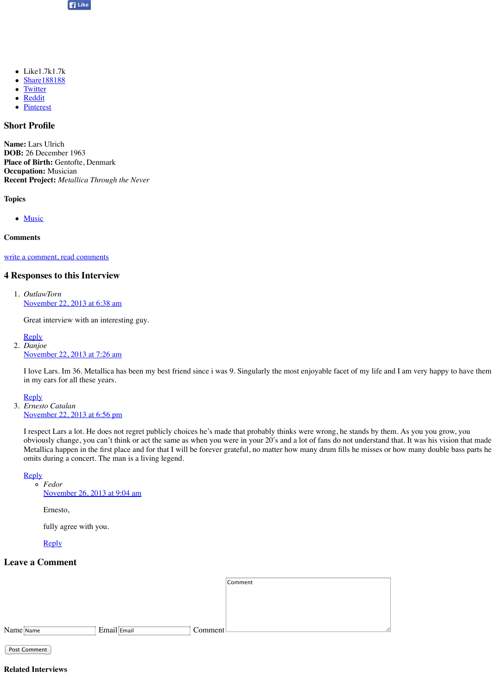November 22, 2013 at 6:38 am

Great interview with an interesting guy.

Reply

2. *Danjoe* November 22, 2013 at 7:26 am

I love Lars. Im 36. Metallica has been my best friend since i was 9. Singularly the most [in my ears for](http://www.facebook.com/sharer.php?u=http://the-talks.com/interviews/lars-ulrich/) all these years.

**[Reply](http://twitter.com/share?text=@the_talks%20Lars%20Ulrich:%20%E2%80%9CSo%20far,%20so%20good%E2%80%9D&url=http://the-talks.com/interviews/lars-ulrich/)** 

3. *[Ernesto](http://reddit.com/submit?url=http://the-talks.com/interviews/lars-ulrich/&title=Lars%20Ulrich:%20%E2%80%9CSo%20far,%20so%20good%E2%80%9D) Catalan* [Novembe](http://www.pinterest.com/pin/create/button/?url=&media=http://the-talks.com/wp-content/uploads/2013/11/LarsUlrich.jpg&description=Lars%20Ulrich:%20%E2%80%9CSo%20far,%20so%20good%E2%80%9D)r 22, 2013 at 6:56 pm

I respect Lars a lot. He does not regret publicly choices he's made that probably thinks v obviously change, you can't think or act the same as when you were in your 20's and a l Metallica happen in the first place and for that I will be forever grateful, no matter how many details he misses or how  $\eta$ omits during a concert. The man is a living legend.

**Reply** 

*Fedor* November 26, 2013 at 9:04 am

Ernesto,

fully agree with you.

**Reply** 

# **[Leave a Comment](http://the-talks.com/interviews/lars-ulrich/#conversation)**

|           |             |                      | Comment |
|-----------|-------------|----------------------|---------|
|           |             |                      |         |
|           |             |                      |         |
|           |             |                      |         |
| Name Name | Email Email | Comment <sup>1</sup> |         |

Post Comment

**Related Interviews**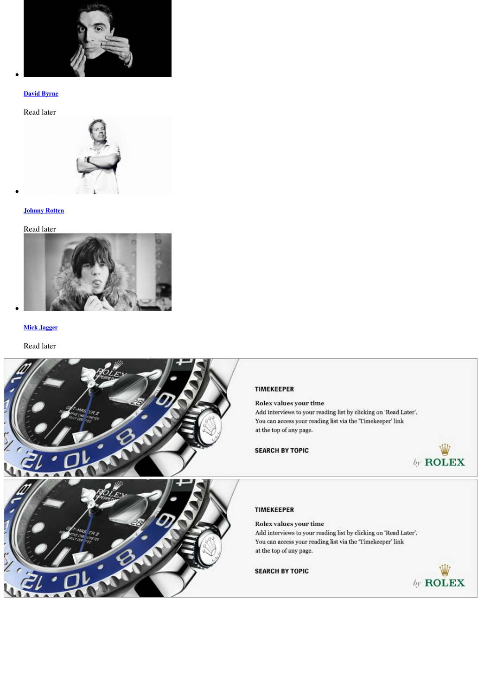

#### **Mick Jagger**

#### [Read later](http://the-talks.com/interviews/david-byrne/)

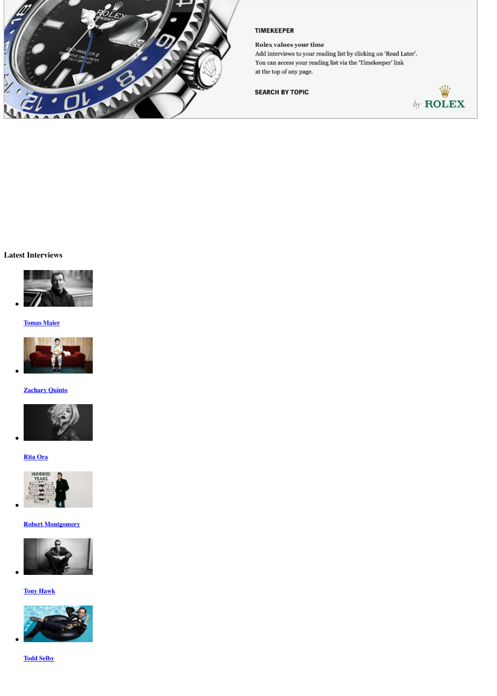# **Tomas Maier**



**Contract** 

# **Zachary Quinto**



#### **Rita Ora**



#### **Robert Montgomery**



# **[Tony Hawk](http://the-talks.com/interviews/tomas-maier/)**



# **[Todd Selby](http://the-talks.com/interviews/zachary-quinto/)**